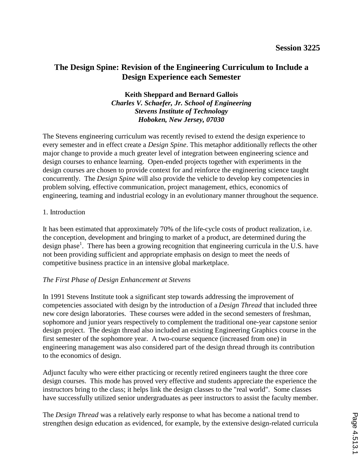# **The Design Spine: Revision of the Engineering Curriculum to Include a Design Experience each Semester**

## **Keith Sheppard and Bernard Gallois** *Charles V. Schaefer, Jr. School of Engineering Stevens Institute of Technology Hoboken, New Jersey, 07030*

The Stevens engineering curriculum was recently revised to extend the design experience to every semester and in effect create a *Design Spine*. This metaphor additionally reflects the other major change to provide a much greater level of integration between engineering science and design courses to enhance learning. Open-ended projects together with experiments in the design courses are chosen to provide context for and reinforce the engineering science taught concurrently. The *Design Spine* will also provide the vehicle to develop key competencies in problem solving, effective communication, project management, ethics, economics of engineering, teaming and industrial ecology in an evolutionary manner throughout the sequence.

#### 1. Introduction

It has been estimated that approximately 70% of the life-cycle costs of product realization, i.e. the conception, development and bringing to market of a product, are determined during the design phase<sup>1</sup>. There has been a growing recognition that engineering curricula in the U.S. have not been providing sufficient and appropriate emphasis on design to meet the needs of competitive business practice in an intensive global marketplace.

## *The First Phase of Design Enhancement at Stevens*

In 1991 Stevens Institute took a significant step towards addressing the improvement of competencies associated with design by the introduction of a *Design Thread* that included three new core design laboratories. These courses were added in the second semesters of freshman, sophomore and junior years respectively to complement the traditional one-year capstone senior design project. The design thread also included an existing Engineering Graphics course in the first semester of the sophomore year. A two-course sequence (increased from one) in engineering management was also considered part of the design thread through its contribution to the economics of design.

Adjunct faculty who were either practicing or recently retired engineers taught the three core design courses. This mode has proved very effective and students appreciate the experience the instructors bring to the class; it helps link the design classes to the "real world". Some classes have successfully utilized senior undergraduates as peer instructors to assist the faculty member.

The *Design Thread* was a relatively early response to what has become a national trend to strengthen design education as evidenced, for example, by the extensive design-related curricula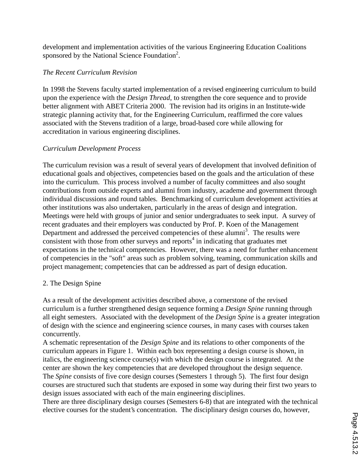development and implementation activities of the various Engineering Education Coalitions sponsored by the National Science Foundation<sup>2</sup>.

## *The Recent Curriculum Revision*

In 1998 the Stevens faculty started implementation of a revised engineering curriculum to build upon the experience with the *Design Thread*, to strengthen the core sequence and to provide better alignment with ABET Criteria 2000. The revision had its origins in an Institute-wide strategic planning activity that, for the Engineering Curriculum, reaffirmed the core values associated with the Stevens tradition of a large, broad-based core while allowing for accreditation in various engineering disciplines.

## *Curriculum Development Process*

The curriculum revision was a result of several years of development that involved definition of educational goals and objectives, competencies based on the goals and the articulation of these into the curriculum. This process involved a number of faculty committees and also sought contributions from outside experts and alumni from industry, academe and government through individual discussions and round tables. Benchmarking of curriculum development activities at other institutions was also undertaken, particularly in the areas of design and integration. Meetings were held with groups of junior and senior undergraduates to seek input. A survey of recent graduates and their employers was conducted by Prof. P. Koen of the Management Department and addressed the perceived competencies of these alumni<sup>3</sup>. The results were consistent with those from other surveys and reports $4$  in indicating that graduates met expectations in the technical competencies. However, there was a need for further enhancement of competencies in the "soft" areas such as problem solving, teaming, communication skills and project management; competencies that can be addressed as part of design education.

## 2. The Design Spine

As a result of the development activities described above, a cornerstone of the revised curriculum is a further strengthened design sequence forming a *Design Spine* running through all eight semesters. Associated with the development of the *Design Spine* is a greater integration of design with the science and engineering science courses, in many cases with courses taken concurrently.

A schematic representation of the *Design Spine* and its relations to other components of the curriculum appears in Figure 1. Within each box representing a design course is shown, in italics, the engineering science course(s) with which the design course is integrated. At the center are shown the key competencies that are developed throughout the design sequence. The *Spine* consists of five core design courses (Semesters 1 through 5). The first four design courses are structured such that students are exposed in some way during their first two years to design issues associated with each of the main engineering disciplines.

There are three disciplinary design courses (Semesters 6-8) that are integrated with the technical elective courses for the student's concentration. The disciplinary design courses do, however,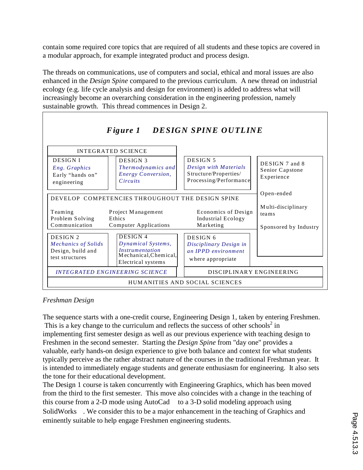contain some required core topics that are required of all students and these topics are covered in a modular approach, for example integrated product and process design.

The threads on communications, use of computers and social, ethical and moral issues are also enhanced in the *Design Spine* compared to the previous curriculum. A new thread on industrial ecology (e.g. life cycle analysis and design for environment) is added to address what will increasingly become an overarching consideration in the engineering profession, namely sustainable growth. This thread commences in Design 2.



## *Freshman Design*

The sequence starts with a one-credit course, Engineering Design 1, taken by entering Freshmen. This is a key change to the curriculum and reflects the success of other schools $2$  in implementing first semester design as well as our previous experience with teaching design to Freshmen in the second semester. Starting the *Design Spine* from "day one" provides a valuable, early hands-on design experience to give both balance and context for what students typically perceive as the rather abstract nature of the courses in the traditional Freshman year. It is intended to immediately engage students and generate enthusiasm for engineering. It also sets the tone for their educational development.

The Design 1 course is taken concurrently with Engineering Graphics, which has been moved from the third to the first semester. This move also coincides with a change in the teaching of this course from a 2-D mode using AutoCad<sup>TM</sup> to a 3-D solid modeling approach using SolidWorks<sup>TM</sup>. We consider this to be a major enhancement in the teaching of Graphics and eminently suitable to help engage Freshmen engineering students.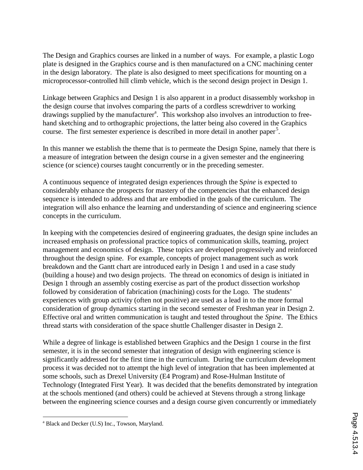The Design and Graphics courses are linked in a number of ways. For example, a plastic Logo plate is designed in the Graphics course and is then manufactured on a CNC machining center in the design laboratory. The plate is also designed to meet specifications for mounting on a microprocessor-controlled hill climb vehicle, which is the second design project in Design 1.

Linkage between Graphics and Design 1 is also apparent in a product disassembly workshop in the design course that involves comparing the parts of a cordless screwdriver to working drawings supplied by the manufacturer<sup>a</sup>. This workshop also involves an introduction to freehand sketching and to orthographic projections, the latter being also covered in the Graphics course. The first semester experience is described in more detail in another paper<sup>5</sup>.

In this manner we establish the theme that is to permeate the Design Spine, namely that there is a measure of integration between the design course in a given semester and the engineering science (or science) courses taught concurrently or in the preceding semester.

A continuous sequence of integrated design experiences through the S*pine* is expected to considerably enhance the prospects for mastery of the competencies that the enhanced design sequence is intended to address and that are embodied in the goals of the curriculum. The integration will also enhance the learning and understanding of science and engineering science concepts in the curriculum.

In keeping with the competencies desired of engineering graduates, the design spine includes an increased emphasis on professional practice topics of communication skills, teaming, project management and economics of design. These topics are developed progressively and reinforced throughout the design spine. For example, concepts of project management such as work breakdown and the Gantt chart are introduced early in Design 1 and used in a case study (building a house) and two design projects. The thread on economics of design is initiated in Design 1 through an assembly costing exercise as part of the product dissection workshop followed by consideration of fabrication (machining) costs for the Logo. The students' experiences with group activity (often not positive) are used as a lead in to the more formal consideration of group dynamics starting in the second semester of Freshman year in Design 2. Effective oral and written communication is taught and tested throughout the *Spine*. The Ethics thread starts with consideration of the space shuttle Challenger disaster in Design 2.

While a degree of linkage is established between Graphics and the Design 1 course in the first semester, it is in the second semester that integration of design with engineering science is significantly addressed for the first time in the curriculum. During the curriculum development process it was decided not to attempt the high level of integration that has been implemented at some schools, such as Drexel University (E4 Program) and Rose-Hulman Institute of Technology (Integrated First Year). It was decided that the benefits demonstrated by integration at the schools mentioned (and others) could be achieved at Stevens through a strong linkage between the engineering science courses and a design course given concurrently or immediately

 $\overline{a}$ 

<sup>&</sup>lt;sup>a</sup> Black and Decker (U.S) Inc., Towson, Maryland.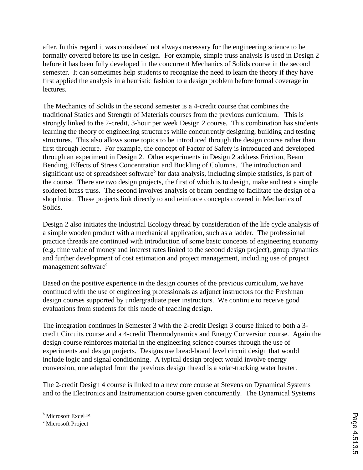after. In this regard it was considered not always necessary for the engineering science to be formally covered before its use in design. For example, simple truss analysis is used in Design 2 before it has been fully developed in the concurrent Mechanics of Solids course in the second semester. It can sometimes help students to recognize the need to learn the theory if they have first applied the analysis in a heuristic fashion to a design problem before formal coverage in lectures.

The Mechanics of Solids in the second semester is a 4-credit course that combines the traditional Statics and Strength of Materials courses from the previous curriculum. This is strongly linked to the 2-credit, 3-hour per week Design 2 course. This combination has students learning the theory of engineering structures while concurrently designing, building and testing structures. This also allows some topics to be introduced through the design course rather than first through lecture. For example, the concept of Factor of Safety is introduced and developed through an experiment in Design 2. Other experiments in Design 2 address Friction, Beam Bending, Effects of Stress Concentration and Buckling of Columns. The introduction and significant use of spreadsheet software<sup>b</sup> for data analysis, including simple statistics, is part of the course. There are two design projects, the first of which is to design, make and test a simple soldered brass truss. The second involves analysis of beam bending to facilitate the design of a shop hoist. These projects link directly to and reinforce concepts covered in Mechanics of Solids.

Design 2 also initiates the Industrial Ecology thread by consideration of the life cycle analysis of a simple wooden product with a mechanical application, such as a ladder. The professional practice threads are continued with introduction of some basic concepts of engineering economy (e.g. time value of money and interest rates linked to the second design project), group dynamics and further development of cost estimation and project management, including use of project management software<sup>c</sup>

Based on the positive experience in the design courses of the previous curriculum, we have continued with the use of engineering professionals as adjunct instructors for the Freshman design courses supported by undergraduate peer instructors. We continue to receive good evaluations from students for this mode of teaching design.

The integration continues in Semester 3 with the 2-credit Design 3 course linked to both a 3 credit Circuits course and a 4-credit Thermodynamics and Energy Conversion course. Again the design course reinforces material in the engineering science courses through the use of experiments and design projects. Designs use bread-board level circuit design that would include logic and signal conditioning. A typical design project would involve energy conversion, one adapted from the previous design thread is a solar-tracking water heater.

The 2-credit Design 4 course is linked to a new core course at Stevens on Dynamical Systems and to the Electronics and Instrumentation course given concurrently. The Dynamical Systems

 $\overline{a}$ 

<sup>&</sup>lt;sup>b</sup> Microsoft Excel™

<sup>&</sup>lt;sup>c</sup> Microsoft Project™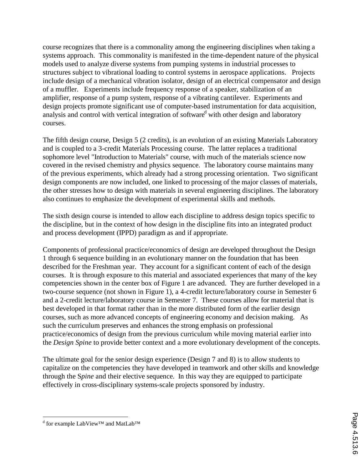course recognizes that there is a commonality among the engineering disciplines when taking a systems approach. This commonality is manifested in the time-dependent nature of the physical models used to analyze diverse systems from pumping systems in industrial processes to structures subject to vibrational loading to control systems in aerospace applications. Projects include design of a mechanical vibration isolator, design of an electrical compensator and design of a muffler. Experiments include frequency response of a speaker, stabilization of an amplifier, response of a pump system, response of a vibrating cantilever. Experiments and design projects promote significant use of computer-based instrumentation for data acquisition, analysis and control with vertical integration of software<sup>d</sup> with other design and laboratory courses.

The fifth design course, Design 5 (2 credits), is an evolution of an existing Materials Laboratory and is coupled to a 3-credit Materials Processing course. The latter replaces a traditional sophomore level "Introduction to Materials" course, with much of the materials science now covered in the revised chemistry and physics sequence. The laboratory course maintains many of the previous experiments, which already had a strong processing orientation. Two significant design components are now included, one linked to processing of the major classes of materials, the other stresses how to design with materials in several engineering disciplines. The laboratory also continues to emphasize the development of experimental skills and methods.

The sixth design course is intended to allow each discipline to address design topics specific to the discipline, but in the context of how design in the discipline fits into an integrated product and process development (IPPD) paradigm as and if appropriate.

Components of professional practice/economics of design are developed throughout the Design 1 through 6 sequence building in an evolutionary manner on the foundation that has been described for the Freshman year. They account for a significant content of each of the design courses. It is through exposure to this material and associated experiences that many of the key competencies shown in the center box of Figure 1 are advanced. They are further developed in a two-course sequence (not shown in Figure 1), a 4-credit lecture/laboratory course in Semester 6 and a 2-credit lecture/laboratory course in Semester 7. These courses allow for material that is best developed in that format rather than in the more distributed form of the earlier design courses, such as more advanced concepts of engineering economy and decision making. As such the curriculum preserves and enhances the strong emphasis on professional practice/economics of design from the previous curriculum while moving material earlier into the *Design Spine* to provide better context and a more evolutionary development of the concepts.

The ultimate goal for the senior design experience (Design 7 and 8) is to allow students to capitalize on the competencies they have developed in teamwork and other skills and knowledge through the S*pine* and their elective sequence. In this way they are equipped to participate effectively in cross-disciplinary systems-scale projects sponsored by industry.

 $\overline{a}$ 

<sup>&</sup>lt;sup>d</sup> for example LabView™ and MatLab™